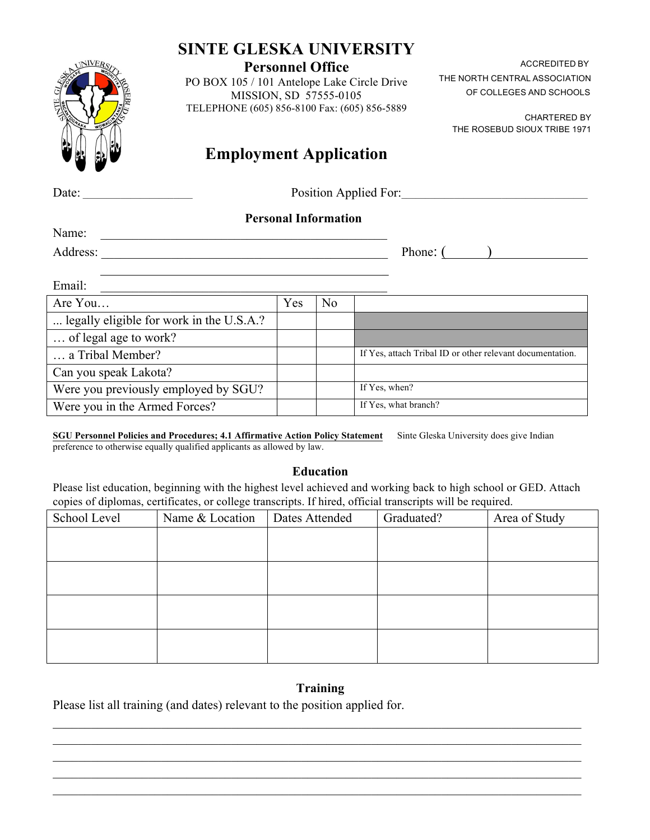# **SINTE GLESKA UNIVERSITY**

### **Personnel Office**

PO BOX 105 / 101 Antelope Lake Circle Drive MISSION, SD 57555-0105 TELEPHONE (605) 856-8100 Fax: (605) 856-5889

THE NORTH CENTRAL ASSOCIATION OF COLLEGES AND SCHOOLS

**CHARTERED BY** THE ROSEBUD SIOUX TRIBE 1971

# **Employment Application**

Date: \_\_\_\_\_\_\_\_\_\_\_\_\_\_\_\_\_\_\_\_\_\_\_ Position Applied For:\_\_\_\_\_\_\_\_\_\_\_\_\_\_\_\_\_\_\_\_\_\_\_\_\_\_\_\_\_\_\_\_\_\_\_\_\_\_\_

## **Personal Information**

Name:

Address: \_\_\_\_\_\_\_\_\_\_\_\_\_\_\_\_\_\_\_\_\_\_\_\_\_\_\_\_\_\_\_\_\_\_\_\_\_\_\_\_\_\_\_\_\_ Phone: ( )

 $\overline{\phantom{a}}$ 

| Email:                                   |     |                |                                                           |
|------------------------------------------|-----|----------------|-----------------------------------------------------------|
| Are You                                  | Yes | N <sub>0</sub> |                                                           |
| legally eligible for work in the U.S.A.? |     |                |                                                           |
| of legal age to work?                    |     |                |                                                           |
| a Tribal Member?                         |     |                | If Yes, attach Tribal ID or other relevant documentation. |
| Can you speak Lakota?                    |     |                |                                                           |
| Were you previously employed by SGU?     |     |                | If Yes, when?                                             |
| Were you in the Armed Forces?            |     |                | If Yes, what branch?                                      |

**SGU Personnel Policies and Procedures; 4.1 Affirmative Action Policy Statement** Sinte Gleska University does give Indian preference to otherwise equally qualified applicants as allowed by law.

### **Education**

Please list education, beginning with the highest level achieved and working back to high school or GED. Attach copies of diplomas, certificates, or college transcripts. If hired, official transcripts will be required.

| School Level | Name & Location | Dates Attended | Graduated? | Area of Study |
|--------------|-----------------|----------------|------------|---------------|
|              |                 |                |            |               |
|              |                 |                |            |               |
|              |                 |                |            |               |
|              |                 |                |            |               |
|              |                 |                |            |               |
|              |                 |                |            |               |
|              |                 |                |            |               |
|              |                 |                |            |               |

## **Training**

 $\_$  , and the contribution of the contribution of the contribution of the contribution of  $\mathcal{L}_\text{max}$  $\mathcal{L}_\mathcal{L} = \{ \mathcal{L}_\mathcal{L} = \{ \mathcal{L}_\mathcal{L} = \{ \mathcal{L}_\mathcal{L} = \{ \mathcal{L}_\mathcal{L} = \{ \mathcal{L}_\mathcal{L} = \{ \mathcal{L}_\mathcal{L} = \{ \mathcal{L}_\mathcal{L} = \{ \mathcal{L}_\mathcal{L} = \{ \mathcal{L}_\mathcal{L} = \{ \mathcal{L}_\mathcal{L} = \{ \mathcal{L}_\mathcal{L} = \{ \mathcal{L}_\mathcal{L} = \{ \mathcal{L}_\mathcal{L} = \{ \mathcal{L}_\mathcal{$  $\mathcal{L}_\mathcal{L} = \{ \mathcal{L}_\mathcal{L} = \{ \mathcal{L}_\mathcal{L} = \{ \mathcal{L}_\mathcal{L} = \{ \mathcal{L}_\mathcal{L} = \{ \mathcal{L}_\mathcal{L} = \{ \mathcal{L}_\mathcal{L} = \{ \mathcal{L}_\mathcal{L} = \{ \mathcal{L}_\mathcal{L} = \{ \mathcal{L}_\mathcal{L} = \{ \mathcal{L}_\mathcal{L} = \{ \mathcal{L}_\mathcal{L} = \{ \mathcal{L}_\mathcal{L} = \{ \mathcal{L}_\mathcal{L} = \{ \mathcal{L}_\mathcal{$  $\_$  , and the contribution of the contribution of the contribution of the contribution of  $\mathcal{L}_\text{max}$  $\_$  , and the contribution of the contribution of the contribution of the contribution of  $\mathcal{L}_\text{max}$ 

Please list all training (and dates) relevant to the position applied for.



**ACCREDITED BY**